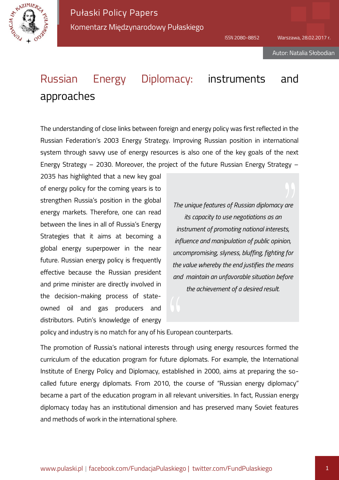

Pułaski Policy Papers Komentarz Międzynarodowy Pułaskiego

# Russian Energy Diplomacy: instruments and approaches

The understanding of close links between foreign and energy policy was first reflected in the Russian Federation's 2003 Energy Strategy. Improving Russian position in international system through savvy use of energy resources is also one of the key goals of the next Energy Strategy – 2030. Moreover, the project of the future Russian Energy Strategy –

2035 has highlighted that a new key goal of energy policy for the coming years is to strengthen Russia's position in the global energy markets. Therefore, one can read between the lines in all of Russia's Energy Strategies that it aims at becoming a global energy superpower in the near future. Russian energy policy is frequently effective because the Russian president and prime minister are directly involved in the decision-making process of stateowned oil and gas producers and distributors. Putin's knowledge of energy

*The unique features of Russian diplomacy are its capacity to use negotiations as an instrument of promoting national interests, influence and manipulation of public opinion, uncompromising, slyness, bluffing, fighting for the value whereby the end justifies the means and maintain an unfavorable situation before the achievement of a desired result.*

policy and industry is no match for any of his European counterparts.

The promotion of Russia's national interests through using energy resources formed the curriculum of the education program for future diplomats. For example, the International Institute of Energy Policy and Diplomacy, established in 2000, aims at preparing the socalled future energy diplomats. From 2010, the course of "Russian energy diplomacy" became a part of the education program in all relevant universities. In fact, Russian energy diplomacy today has an institutional dimension and has preserved many Soviet features and methods of work in the international sphere.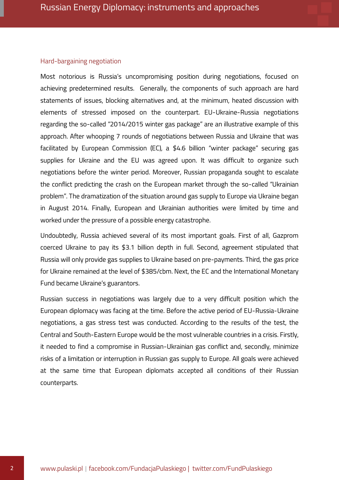#### Hard-bargaining negotiation

Most notorious is Russia's uncompromising position during negotiations, focused on achieving predetermined results. Generally, the components of such approach are hard statements of issues, blocking alternatives and, at the minimum, heated discussion with elements of stressed imposed on the counterpart. EU-Ukraine-Russia negotiations regarding the so-called "2014/2015 winter gas package" are an illustrative example of this approach. After whooping 7 rounds of negotiations between Russia and Ukraine that was facilitated by European Commission (EC), a \$4.6 billion "winter package" securing gas supplies for Ukraine and the EU was agreed upon. It was difficult to organize such negotiations before the winter period. Moreover, Russian propaganda sought to escalate the conflict predicting the crash on the European market through the so-called "Ukrainian problem". The dramatization of the situation around gas supply to Europe via Ukraine began in August 2014. Finally, European and Ukrainian authorities were limited by time and worked under the pressure of a possible energy catastrophe.

Undoubtedly, Russia achieved several of its most important goals. First of all, Gazprom coerced Ukraine to pay its \$3.1 billion depth in full. Second, agreement stipulated that Russia will only provide gas supplies to Ukraine based on pre-payments. Third, the gas price for Ukraine remained at the level of \$385/cbm. Next, the EC and the International Monetary Fund became Ukraine's guarantors.

Russian success in negotiations was largely due to a very difficult position which the European diplomacy was facing at the time. Before the active period of EU-Russia-Ukraine negotiations, a gas stress test was conducted. According to the results of the test, the Central and South-Eastern Europe would be the most vulnerable countries in a crisis. Firstly, it needed to find a compromise in Russian-Ukrainian gas conflict and, secondly, minimize risks of a limitation or interruption in Russian gas supply to Europe. All goals were achieved at the same time that European diplomats accepted all conditions of their Russian counterparts.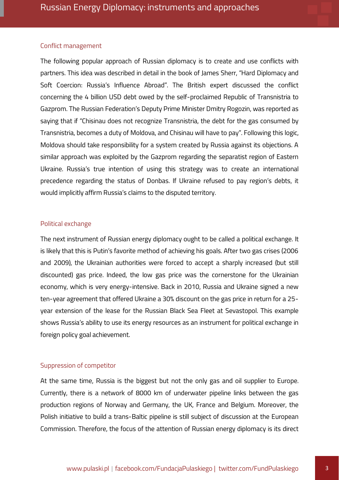## Conflict management

The following popular approach of Russian diplomacy is to create and use conflicts with partners. This idea was described in detail in the book of James Sherr, "Hard Diplomacy and Soft Coercion: Russia's Influence Abroad". The British expert discussed the conflict concerning the 4 billion USD debt owed by the self-proclaimed Republic of Transnistria to Gazprom. The Russian Federation's Deputy Prime Minister Dmitry Rogozin, was reported as saying that if "Chisinau does not recognize Transnistria, the debt for the gas consumed by Transnistria, becomes a duty of Moldova, and Chisinau will have to pay". Following this logic, Moldova should take responsibility for a system created by Russia against its objections. A similar approach was exploited by the Gazprom regarding the separatist region of Eastern Ukraine. Russia's true intention of using this strategy was to create an international precedence regarding the status of Donbas. If Ukraine refused to pay region's debts, it would implicitly affirm Russia's claims to the disputed territory.

#### Political exchange

The next instrument of Russian energy diplomacy ought to be called a political exchange. It is likely that this is Putin's favorite method of achieving his goals. After two gas crises (2006 and 2009), the Ukrainian authorities were forced to accept a sharply increased (but still discounted) gas price. Indeed, the low gas price was the cornerstone for the Ukrainian economy, which is very energy-intensive. Back in 2010, Russia and Ukraine signed a new ten-year agreement that offered Ukraine a 30% discount on the gas price in return for a 25 year extension of the lease for the Russian Black Sea Fleet at Sevastopol. This example shows Russia's ability to use its energy resources as an instrument for political exchange in foreign policy goal achievement.

# Suppression of competitor

At the same time, Russia is the biggest but not the only gas and oil supplier to Europe. Currently, there is a network of 8000 km of underwater pipeline links between the gas production regions of Norway and Germany, the UK, France and Belgium. Moreover, the Polish initiative to build a trans-Baltic pipeline is still subject of discussion at the European Commission. Therefore, the focus of the attention of Russian energy diplomacy is its direct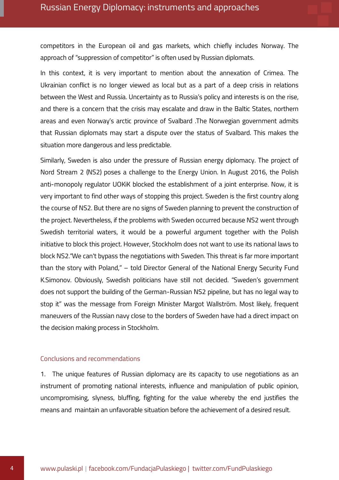competitors in the European oil and gas markets, which chiefly includes Norway. The approach of "suppression of competitor" is often used by Russian diplomats.

In this context, it is very important to mention about the annexation of Crimea. The Ukrainian conflict is no longer viewed as local but as a part of a deep crisis in relations between the West and Russia. Uncertainty as to Russia's policy and interests is on the rise, and there is a concern that the crisis may escalate and draw in the Baltic States, northern areas and even Norway's arctic province of Svalbard .The Norwegian government admits that Russian diplomats may start a dispute over the status of Svalbard. This makes the situation more dangerous and less predictable.

Similarly, Sweden is also under the pressure of Russian energy diplomacy. The project of Nord Stream 2 (NS2) poses a challenge to the Energy Union. In August 2016, the Polish anti-monopoly regulator UOKiK blocked the establishment of a joint enterprise. Now, it is very important to find other ways of stopping this project. Sweden is the first country along the course of NS2. But there are no signs of Sweden planning to prevent the construction of the project. Nevertheless, if the problems with Sweden occurred because NS2 went through Swedish territorial waters, it would be a powerful argument together with the Polish initiative to block this project. However, Stockholm does not want to use its national laws to block NS2."We can't bypass the negotiations with Sweden. This threat is far more important than the story with Poland," – told Director General of the National Energy Security Fund K.Simonov. Obviously, Swedish politicians have still not decided. "Sweden's government does not support the building of the German-Russian NS2 pipeline, but has no legal way to stop it" was the message from Foreign Minister Margot Wallström. Most likely, frequent maneuvers of the Russian navy close to the borders of Sweden have had a direct impact on the decision making process in Stockholm.

# Conclusions and recommendations

1. The unique features of Russian diplomacy are its capacity to use negotiations as an instrument of promoting national interests, influence and manipulation of public opinion, uncompromising, slyness, bluffing, fighting for the value whereby the end justifies the means and maintain an unfavorable situation before the achievement of a desired result.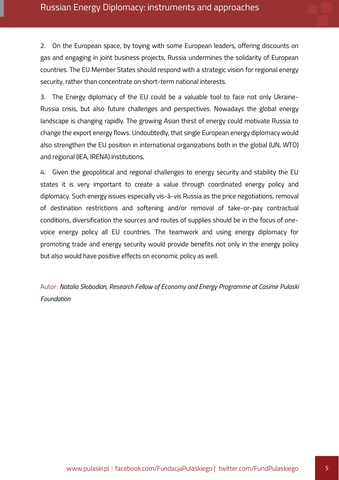2. On the European space, by toying with some European leaders, offering discounts on gas and engaging in joint business projects, Russia undermines the solidarity of European countries. The EU Member States should respond with a strategic vision for regional energy security, rather than concentrate on short-term national interests.

3. The Energy diplomacy of the EU could be a valuable tool to face not only Ukraine-Russia crisis, but also future challenges and perspectives. Nowadays the global energy landscape is changing rapidly. The growing Asian thirst of energy could motivate Russia to change the export energy flows. Undoubtedly, that single European energy diplomacy would also strengthen the EU position in international organizations both in the global (UN, WTO) and regional (IEA, IRENA) institutions.

4. Given the geopolitical and regional challenges to energy security and stability the EU states it is very important to create a value through coordinated energy policy and diplomacy. Such energy issues especially vis-à-vis Russia as the price negotiations, removal of destination restrictions and softening and/or removal of take-or-pay contractual conditions, diversification the sources and routes of supplies should be in the focus of onevoice energy policy all EU countries. The teamwork and using energy diplomacy for promoting trade and energy security would provide benefits not only in the energy policy but also would have positive effects on economic policy as well.

Autor: *Natalia Słobodian, Research Fellow of Economy and Energy Programme at Casimir Pulaski Foundation*